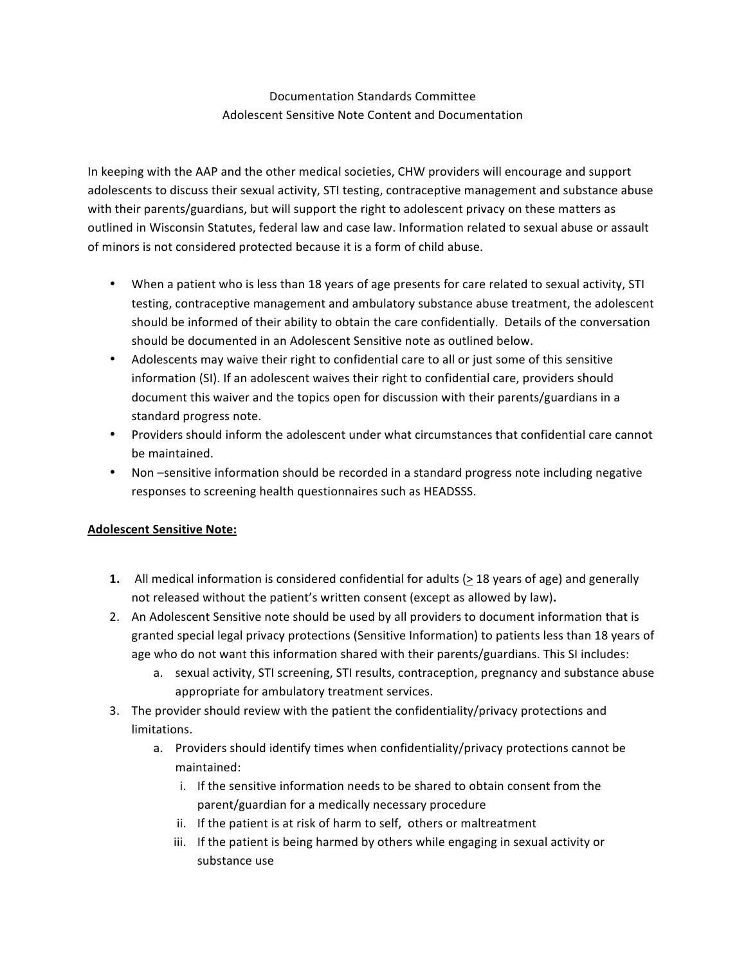# Documentation Standards Committee Adolescent Sensitive Note Content and Documentation

In keeping with the AAP and the other medical societies, CHW providers will encourage and support adolescents to discuss their sexual activity, STI testing, contraceptive management and substance abuse with their parents/guardians, but will support the right to adolescent privacy on these matters as outlined in Wisconsin Statutes, federal law and case law. Information related to sexual abuse or assault of minors is not considered protected because it is a form of child abuse.

- When a patient who is less than 18 years of age presents for care related to sexual activity, STI testing, contraceptive management and ambulatory substance abuse treatment, the adolescent should be informed of their ability to obtain the care confidentially. Details of the conversation should be documented in an Adolescent Sensitive note as outlined below.
- Adolescents may waive their right to confidential care to all or just some of this sensitive information (SI). If an adolescent waives their right to confidential care, providers should document this waiver and the topics open for discussion with their parents/guardians in a standard progress note.
- Providers should inform the adolescent under what circumstances that confidential care cannot be maintained.
- Non -sensitive information should be recorded in a standard progress note including negative responses to screening health questionnaires such as HEADSSS.

### **Adolescent Sensitive Note:**

- **1.** All medical information is considered confidential for adults (> 18 years of age) and generally not released without the patient's written consent (except as allowed by law).
- 2. An Adolescent Sensitive note should be used by all providers to document information that is granted special legal privacy protections (Sensitive Information) to patients less than 18 years of age who do not want this information shared with their parents/guardians. This SI includes:
	- a. sexual activity, STI screening, STI results, contraception, pregnancy and substance abuse appropriate for ambulatory treatment services.
- 3. The provider should review with the patient the confidentiality/privacy protections and limitations.
	- a. Providers should identify times when confidentiality/privacy protections cannot be maintained:
		- i. If the sensitive information needs to be shared to obtain consent from the parent/guardian for a medically necessary procedure
		- ii. If the patient is at risk of harm to self, others or maltreatment
		- iii. If the patient is being harmed by others while engaging in sexual activity or substance use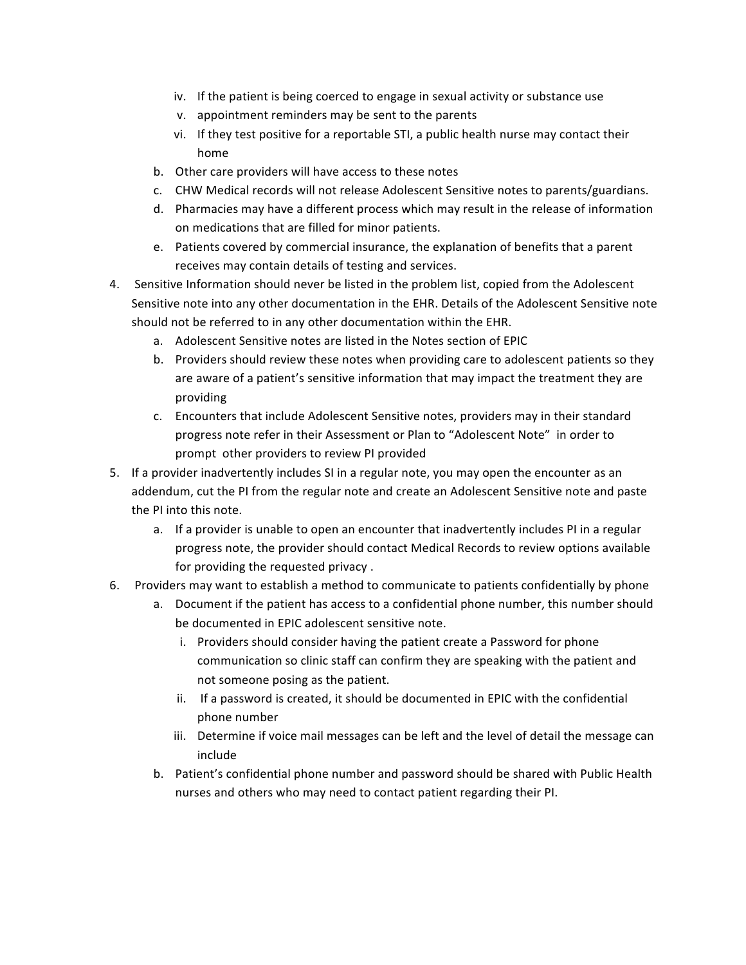- iv. If the patient is being coerced to engage in sexual activity or substance use
- v. appointment reminders may be sent to the parents
- vi. If they test positive for a reportable STI, a public health nurse may contact their home
- b. Other care providers will have access to these notes
- c. CHW Medical records will not release Adolescent Sensitive notes to parents/guardians.
- d. Pharmacies may have a different process which may result in the release of information on medications that are filled for minor patients.
- e. Patients covered by commercial insurance, the explanation of benefits that a parent receives may contain details of testing and services.
- 4. Sensitive Information should never be listed in the problem list, copied from the Adolescent Sensitive note into any other documentation in the EHR. Details of the Adolescent Sensitive note should not be referred to in any other documentation within the EHR.
	- a. Adolescent Sensitive notes are listed in the Notes section of EPIC
	- b. Providers should review these notes when providing care to adolescent patients so they are aware of a patient's sensitive information that may impact the treatment they are providing
	- c. Encounters that include Adolescent Sensitive notes, providers may in their standard progress note refer in their Assessment or Plan to "Adolescent Note" in order to prompt other providers to review PI provided
- 5. If a provider inadvertently includes SI in a regular note, you may open the encounter as an addendum, cut the PI from the regular note and create an Adolescent Sensitive note and paste the PI into this note.
	- a. If a provider is unable to open an encounter that inadvertently includes PI in a regular progress note, the provider should contact Medical Records to review options available for providing the requested privacy.
- 6. Providers may want to establish a method to communicate to patients confidentially by phone
	- a. Document if the patient has access to a confidential phone number, this number should be documented in EPIC adolescent sensitive note.
		- i. Providers should consider having the patient create a Password for phone communication so clinic staff can confirm they are speaking with the patient and not someone posing as the patient.
		- ii. If a password is created, it should be documented in EPIC with the confidential phone number
		- iii. Determine if voice mail messages can be left and the level of detail the message can include
	- b. Patient's confidential phone number and password should be shared with Public Health nurses and others who may need to contact patient regarding their PI.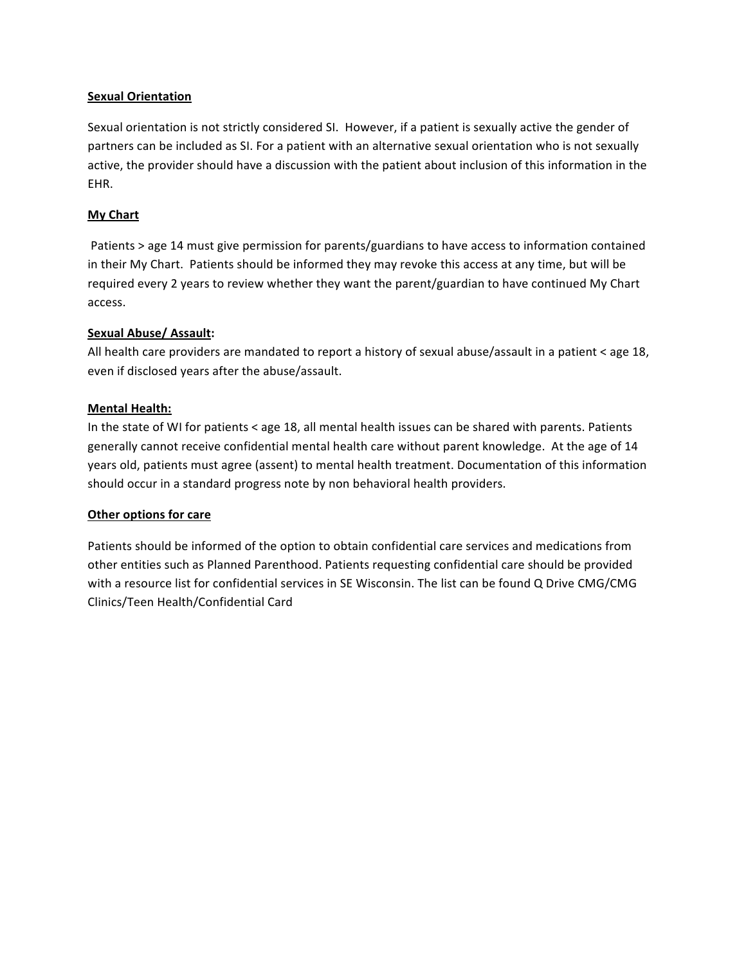### **Sexual Orientation**

Sexual orientation is not strictly considered SI. However, if a patient is sexually active the gender of partners can be included as SI. For a patient with an alternative sexual orientation who is not sexually active, the provider should have a discussion with the patient about inclusion of this information in the EHR.

### **My Chart**

Patients > age 14 must give permission for parents/guardians to have access to information contained in their My Chart. Patients should be informed they may revoke this access at any time, but will be required every 2 years to review whether they want the parent/guardian to have continued My Chart access.

#### **Sexual Abuse/ Assault:**

All health care providers are mandated to report a history of sexual abuse/assault in a patient < age 18, even if disclosed years after the abuse/assault.

#### **Mental Health:**

In the state of WI for patients < age 18, all mental health issues can be shared with parents. Patients generally cannot receive confidential mental health care without parent knowledge. At the age of 14 years old, patients must agree (assent) to mental health treatment. Documentation of this information should occur in a standard progress note by non behavioral health providers.

#### **Other options for care**

Patients should be informed of the option to obtain confidential care services and medications from other entities such as Planned Parenthood. Patients requesting confidential care should be provided with a resource list for confidential services in SE Wisconsin. The list can be found Q Drive CMG/CMG Clinics/Teen Health/Confidential Card